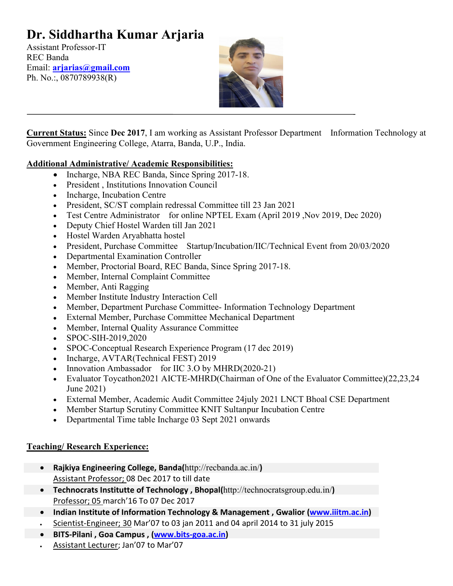# **Dr. Siddhartha Kumar Arjaria**

Assistant Professor-IT REC Banda Email: **[arjarias@gmail.com](mailto:arjarias@gmail.com)** Ph. No.:, 0870789938(R)



**Current Status:** Since **Dec 2017**, I am working as Assistant Professor Department Information Technology at Government Engineering College, Atarra, Banda, U.P., India.

#### **Additional Administrative/ Academic Responsibilities:**

- Incharge, NBA REC Banda, Since Spring 2017-18.
- President , Institutions Innovation Council
- Incharge, Incubation Centre
- President, SC/ST complain redressal Committee till 23 Jan 2021
- Test Centre Administrator for online NPTEL Exam (April 2019, Nov 2019, Dec 2020)
- Deputy Chief Hostel Warden till Jan 2021
- Hostel Warden Aryabhatta hostel
- President, Purchase Committee Startup/Incubation/IIC/Technical Event from 20/03/2020
- Departmental Examination Controller
- Member, Proctorial Board, REC Banda, Since Spring 2017-18.
- Member, Internal Complaint Committee
- Member, Anti Ragging
- Member Institute Industry Interaction Cell
- Member, Department Purchase Committee- Information Technology Department
- External Member, Purchase Committee Mechanical Department
- Member, Internal Quality Assurance Committee
- SPOC-SIH-2019,2020
- SPOC-Conceptual Research Experience Program (17 dec 2019)
- Incharge, AVTAR(Technical FEST) 2019
- Innovation Ambassador for IIC 3.O by MHRD(2020-21)
- Evaluator Toycathon2021 AICTE-MHRD(Chairman of One of the Evaluator Committee)(22,23,24 June 2021)
- External Member, Academic Audit Committee 24july 2021 LNCT Bhoal CSE Department
- Member Startup Scrutiny Committee KNIT Sultanpur Incubation Centre
- Departmental Time table Incharge 03 Sept 2021 onwards

#### **Teaching/ Research Experience:**

- **Rajkiya Engineering College, Banda(**http://recbanda.ac.in/**)**  Assistant Professor; 08 Dec 2017 to till date
- **Technocrats Institutte of Technology , Bhopal(**http://technocratsgroup.edu.in/**)**  Professor; 05 march'16 To 07 Dec 2017
- Indian Institute of Information Technology & Management, Gwalior [\(www.iiitm.ac.in\)](http://www.iiitm.ac.in/)
- Scientist-Engineer; 30 Mar'07 to 03 jan 2011 and 04 april 2014 to 31 july 2015
- **BITS-Pilani , Goa Campus , [\(www.bits-goa.ac.in\)](http://www.bits-goa.ac.in/)**
- Assistant Lecturer; Jan'07 to Mar'07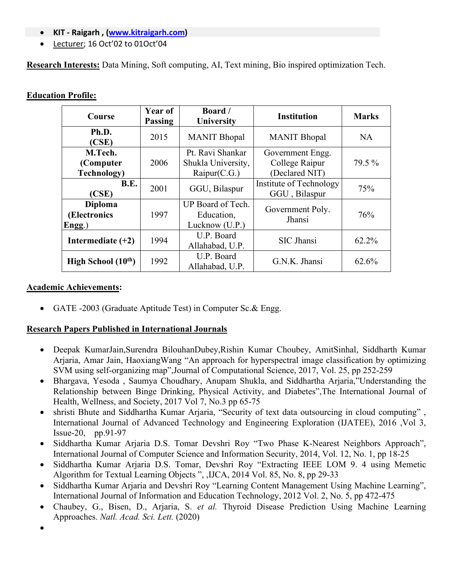- **KIT - Raigarh , [\(www.kitraigarh.com\)](http://www.kitraigarh.com/)**
- Lecturer; 16 Oct'02 to 01Oct'04

**Research Interests:** Data Mining, Soft computing, AI, Text mining, Bio inspired optimization Tech.

#### **Education Profile:**

| Course                                      | Year of<br><b>Passing</b> | Board /<br>University                                  | <b>Institution</b>                                   | <b>Marks</b> |
|---------------------------------------------|---------------------------|--------------------------------------------------------|------------------------------------------------------|--------------|
| Ph.D.<br>(CSE)                              | 2015                      | <b>MANIT Bhopal</b>                                    | <b>MANIT Bhopal</b>                                  | <b>NA</b>    |
| M.Tech.<br>(Computer<br><b>Technology</b> ) | 2006                      | Pt. Ravi Shankar<br>Shukla University,<br>Raipur(C.G.) | Government Engg.<br>College Raipur<br>(Declared NIT) | 79.5 %       |
| B.E.<br>(CSE)                               | 2001                      | GGU, Bilaspur                                          | Institute of Technology<br>GGU, Bilaspur             | 75%          |
| <b>Diploma</b><br>(Electronics<br>Engg.)    | 1997                      | UP Board of Tech.<br>Education,<br>Lucknow (U.P.)      | Government Poly.<br>Jhansi                           | 76%          |
| Intermediate $(+2)$                         | 1994                      | U.P. Board<br>Allahabad, U.P.                          | SIC Jhansi                                           | 62.2%        |
| High School $(10th)$                        | 1992                      | U.P. Board<br>Allahabad, U.P.                          | G.N.K. Jhansi                                        | 62.6%        |

#### **Academic Achievements:**

• GATE -2003 (Graduate Aptitude Test) in Computer Sc.& Engg.

#### **Research Papers Published in International Journals**

- [Deepak KumarJain,Surendra BilouhanDubey,Rishin Kumar](https://www.sciencedirect.com/science/article/pii/S1877750317308530#!) Choubey, [AmitSinhal,](https://www.sciencedirect.com/science/article/pii/S1877750317308530#!) [Siddharth Kumar](https://www.sciencedirect.com/science/article/pii/S1877750317308530#!) [Arjaria, Amar](https://www.sciencedirect.com/science/article/pii/S1877750317308530#!) Jain, [HaoxiangWang](https://www.sciencedirect.com/science/article/pii/S1877750317308530#!) "An approach for hyperspectral image classification by optimizing SVM using self-organizing map",Journal of Computational Science, 2017, Vol. 25, pp 252-259
- Bhargava, Yesoda , Saumya Choudhary, Anupam Shukla, and Siddhartha Arjaria,"Understanding the Relationship between Binge Drinking, Physical Activity, and Diabetes",The International Journal of Health, Wellness, and Society, 2017 Vol 7, No.3 pp 65-75
- shristi Bhute and Siddhartha Kumar Arjaria, "Security of text data outsourcing in cloud computing", International Journal of Advanced Technology and Engineering Exploration (IJATEE), 2016 ,Vol 3, Issue-20, pp.91-97
- Siddhartha Kumar Arjaria D.S. Tomar Devshri Roy "Two Phase K-Nearest Neighbors Approach", International Journal of Computer Science and Information Security, 2014, Vol. 12, No. 1, pp 18-25
- Siddhartha Kumar Arjaria D.S. Tomar, Devshri Roy "Extracting IEEE LOM 9. 4 using Memetic Algorithm for Textual Learning Objects ", ,IJCA, 2014 Vol. 85, No. 8, pp 29-33
- Siddhartha Kumar Arjaria and Devshri Roy "Learning Content Management Using Machine Learning", International Journal of Information and Education Technology, 2012 Vol. 2, No. 5, pp 472-475
- Chaubey, G., Bisen, D., Arjaria, S. *et al.* Thyroid Disease Prediction Using Machine Learning Approaches. *Natl. Acad. Sci. Lett.* (2020)

•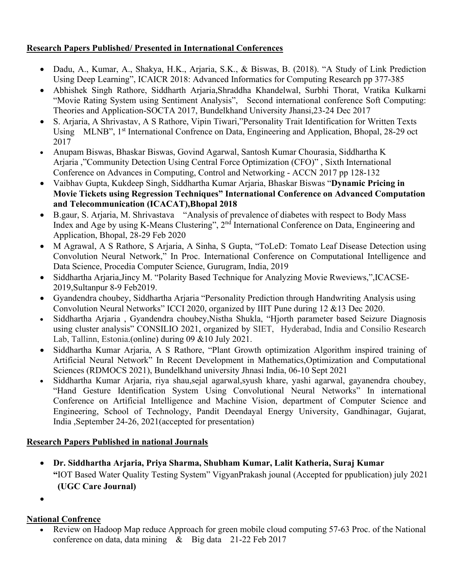## **Research Papers Published/ Presented in International Conferences**

- Dadu, A., Kumar, A., Shakya, H.K., Arjaria, S.K., & Biswas, B. (2018). "A Study of Link Prediction Using Deep Learning", ICAICR 2018: Advanced Informatics for Computing Research pp 377-385
- Abhishek Singh Rathore, Siddharth Arjaria,Shraddha Khandelwal, Surbhi Thorat, Vratika Kulkarni "Movie Rating System using Sentiment Analysis", Second international conference Soft Computing: Theories and Application-SOCTA 2017, Bundelkhand University Jhansi,23-24 Dec 2017
- S. Arjaria, A Shrivastav, A S Rathore, Vipin Tiwari,"Personality Trait Identification for Written Texts Using MLNB", 1<sup>st</sup> International Confrence on Data, Engineering and Application, Bhopal, 28-29 oct 2017
- Anupam Biswas, Bhaskar Biswas, Govind Agarwal, Santosh Kumar Chourasia, Siddhartha K Arjaria ,"Community Detection Using Central Force Optimization (CFO)" , Sixth International Conference on Advances in Computing, Control and Networking - ACCN 2017 pp 128-132
- Vaibhav Gupta, Kukdeep Singh, Siddhartha Kumar Arjaria, Bhaskar Biswas "**Dynamic Pricing in Movie Tickets using Regression Techniques" International Conference on Advanced Computation and Telecommunication (ICACAT),Bhopal 2018**
- B.gaur, S. Arjaria, M. Shrivastava "Analysis of prevalence of diabetes with respect to Body Mass Index and Age by using K-Means Clustering", 2nd International Conference on Data, Engineering and Application, Bhopal, 28-29 Feb 2020
- M Agrawal, A S Rathore, S Arjaria, A Sinha, S Gupta, "ToLeD: Tomato Leaf Disease Detection using Convolution Neural Network," In Proc. International Conference on Computational Intelligence and Data Science, Procedia Computer Science, Gurugram, India, 2019
- Siddhartha Arjaria,Jincy M. "Polarity Based Technique for Analyzing Movie Rweviews,",ICACSE-2019,Sultanpur 8-9 Feb2019.
- Gyandendra choubey, Siddhartha Arjaria "Personality Prediction through Handwriting Analysis using Convolution Neural Networks" ICCI 2020, organized by IIIT Pune during 12 &13 Dec 2020.
- Siddhartha Arjaria , Gyandendra choubey,Nistha Shukla, "Hjorth parameter based Seizure Diagnosis using cluster analysis" CONSILIO 2021, organized by SIET, Hyderabad, India and Consilio Research Lab, Tallinn, Estonia.(online) during 09 &10 July 2021.
- Siddhartha Kumar Arjaria, A S Rathore, "Plant Growth optimization Algorithm inspired training of Artificial Neural Network" In Recent Development in Mathematics,Optimization and Computational Sciences (RDMOCS 2021), Bundelkhand university Jhnasi India, 06-10 Sept 2021
- Siddhartha Kumar Arjaria, riya shau,sejal agarwal,syush khare, yashi agarwal, gayanendra choubey, "Hand Gesture Identification System Using Convolutional Neural Networks" In international Conference on Artificial Intelligence and Machine Vision, department of Computer Science and Engineering, School of Technology, Pandit Deendayal Energy University, Gandhinagar, Gujarat, India ,September 24-26, 2021(accepted for presentation)

# **Research Papers Published in national Journals**

- **Dr. Siddhartha Arjaria, Priya Sharma, Shubham Kumar, Lalit Katheria, Suraj Kumar "**IOT Based Water Quality Testing System" VigyanPrakash jounal (Accepted for ppublication) july 2021 **(UGC Care Journal)**
- •

# **National Confrence**

• Review on Hadoop Map reduce Approach for green mobile cloud computing 57-63 Proc. of the National conference on data, data mining & Big data 21-22 Feb 2017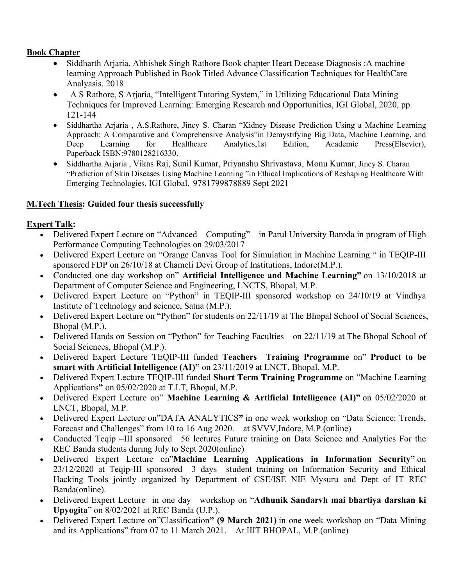#### **Book Chapter**

- Siddharth Arjaria, Abhishek Singh Rathore Book chapter Heart Decease Diagnosis: A machine learning Approach Published in Book Titled Advance Classification Techniques for HealthCare Analyasis. 2018
- A S Rathore, S Arjaria, "Intelligent Tutoring System," in Utilizing Educational Data Mining Techniques for Improved Learning: Emerging Research and Opportunities, IGI Global, 2020, pp. 121-144
- Siddhartha Arjaria , A.S.Rathore, Jincy S. Charan "Kidney Disease Prediction Using a Machine Learning Approach: A Comparative and Comprehensive Analysis"in Demystifying Big Data, Machine Learning, and Deep Learning for Healthcare Analytics,1st Edition, Academic Press(Elsevier), Paperback ISBN:9780128216330.
- Siddhartha Arjaria , Vikas Raj, Sunil Kumar, Priyanshu Shrivastava, Monu Kumar, Jincy S. Charan ["Prediction of Skin Diseases Using Machine Learning](https://www.igi-global.com/submission/proofing/document/?did=68729) "in Ethical Implications of Reshaping Healthcare With Emerging Technologies, IGI Global, 9781799878889 Sept 2021

## **M.Tech Thesis: Guided four thesis successfully**

## **Expert Talk:**

- Delivered Expert Lecture on "Advanced Computing" in Parul University Baroda in program of High Performance Computing Technologies on 29/03/2017
- Delivered Expert Lecture on "Orange Canvas Tool for Simulation in Machine Learning " in TEQIP-III sponsored FDP on 26/10/18 at Chameli Devi Group of Institutions, Indore(M.P.).
- Conducted one day workshop on" **Artificial Intelligence and Machine Learning"** on 13/10/2018 at Department of Computer Science and Engineering, LNCTS, Bhopal, M.P.
- Delivered Expert Lecture on "Python" in TEQIP-III sponsored workshop on 24/10/19 at Vindhya Institute of Technology and science, Satna (M.P.).
- Delivered Expert Lecture on "Python" for students on 22/11/19 at The Bhopal School of Social Sciences, Bhopal (M.P.).
- Delivered Hands on Session on "Python" for Teaching Faculties on 22/11/19 at The Bhopal School of Social Sciences, Bhopal (M.P.).
- Delivered Expert Lecture TEQIP-III funded **Teachers Training Programme** on" **Product to be smart with Artificial Intelligence (AI)"** on 23/11/2019 at LNCT, Bhopal, M.P.
- Delivered Expert Lecture TEQIP-III funded **Short Term Training Programme** on "Machine Learning Applications**"** on 05/02/2020 at T.I.T, Bhopal, M.P.
- Delivered Expert Lecture on" **Machine Learning & Artificial Intelligence (AI)"** on 05/02/2020 at LNCT, Bhopal, M.P.
- Delivered Expert Lecture on"DATA ANALYTICS**"** in one week workshop on "Data Science: Trends, Forecast and Challenges" from 10 to 16 Aug 2020. at SVVV,Indore, M.P.(online)
- Conducted Teqip –III sponsored 56 lectures Future training on Data Science and Analytics For the REC Banda students during July to Sept 2020(online)
- Delivered Expert Lecture on"**Machine Learning Applications in Information Security"** on 23/12/2020 at Teqip-III sponsored 3 days student training on Information Security and Ethical Hacking Tools jointly organized by Department of CSE/ISE NIE Mysuru and Dept of IT REC Banda(online).
- Delivered Expert Lecture in one day workshop on "**Adhunik Sandarvh mai bhartiya darshan ki Upyogita**" on 8/02/2021 at REC Banda (U.P.).
- Delivered Expert Lecture on"Classification**" (9 March 2021)** in one week workshop on "Data Mining and its Applications" from 07 to 11 March 2021. At IIIT BHOPAL, M.P.(online)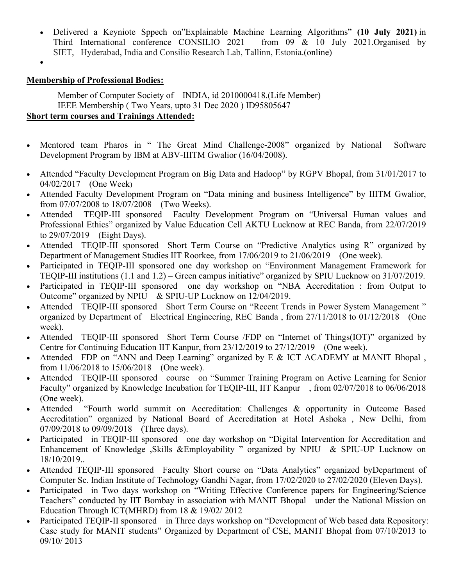- Delivered a Keyniote Sppech on"Explainable Machine Learning Algorithms" **(10 July 2021)** in Third International conference CONSILIO 2021 from 09 & 10 July 2021.Organised by SIET, Hyderabad, India and Consilio Research Lab, Tallinn, Estonia.(online)
- •

#### **Membership of Professional Bodies:**

Member of Computer Society of INDIA, id 2010000418.(Life Member) IEEE Membership ( Two Years, upto 31 Dec 2020 ) ID95805647 **Short term courses and Trainings Attended:**

- Mentored team Pharos in " The Great Mind Challenge-2008" organized by National Software Development Program by IBM at ABV-IIITM Gwalior (16/04/2008).
- Attended "Faculty Development Program on Big Data and Hadoop" by RGPV Bhopal, from 31/01/2017 to 04/02/2017 (One Week)
- Attended Faculty Development Program on "Data mining and business Intelligence" by IIITM Gwalior, from 07/07/2008 to 18/07/2008 (Two Weeks).
- Attended TEQIP-III sponsored Faculty Development Program on "Universal Human values and Professional Ethics" organized by Value Education Cell AKTU Lucknow at REC Banda, from 22/07/2019 to 29/07/2019 (Eight Days).
- Attended TEQIP-III sponsored Short Term Course on "Predictive Analytics using R" organized by Department of Management Studies IIT Roorkee, from 17/06/2019 to 21/06/2019 (One week).
- Participated in TEQIP-III sponsored one day workshop on "Environment Management Framework for TEQIP-III institutions (1.1 and 1.2) – Green campus initiative" organized by SPIU Lucknow on 31/07/2019.
- Participated in TEQIP-III sponsored one day workshop on "NBA Accreditation : from Output to Outcome" organized by NPIU & SPIU-UP Lucknow on 12/04/2019.
- Attended TEQIP-III sponsored Short Term Course on "Recent Trends in Power System Management " organized by Department of Electrical Engineering, REC Banda , from 27/11/2018 to 01/12/2018 (One week).
- Attended TEQIP-III sponsored Short Term Course /FDP on "Internet of Things(IOT)" organized by Centre for Continuing Education IIT Kanpur, from 23/12/2019 to 27/12/2019 (One week).
- Attended FDP on "ANN and Deep Learning" organized by E & ICT ACADEMY at MANIT Bhopal, from 11/06/2018 to 15/06/2018 (One week).
- Attended TEQIP-III sponsored course on "Summer Training Program on Active Learning for Senior Faculty" organized by Knowledge Incubation for TEQIP-III, IIT Kanpur , from 02/07/2018 to 06/06/2018 (One week).
- Attended "Fourth world summit on Accreditation: Challenges & opportunity in Outcome Based Accreditation" organized by National Board of Accreditation at Hotel Ashoka , New Delhi, from 07/09/2018 to 09/09/2018 (Three days).
- Participated in TEQIP-III sponsored one day workshop on "Digital Intervention for Accreditation and Enhancement of Knowledge ,Skills &Employability " organized by NPIU & SPIU-UP Lucknow on 18/10/2019..
- Attended TEQIP-III sponsored Faculty Short course on "Data Analytics" organized byDepartment of Computer Sc. Indian Institute of Technology Gandhi Nagar, from 17/02/2020 to 27/02/2020 (Eleven Days).
- Participated in Two days workshop on "Writing Effective Conference papers for Engineering/Science Teachers" conducted by IIT Bombay in association with MANIT Bhopal under the National Mission on Education Through ICT(MHRD) from 18 & 19/02/ 2012
- Participated TEQIP-II sponsored in Three days workshop on "Development of Web based data Repository: Case study for MANIT students" Organized by Department of CSE, MANIT Bhopal from 07/10/2013 to 09/10/ 2013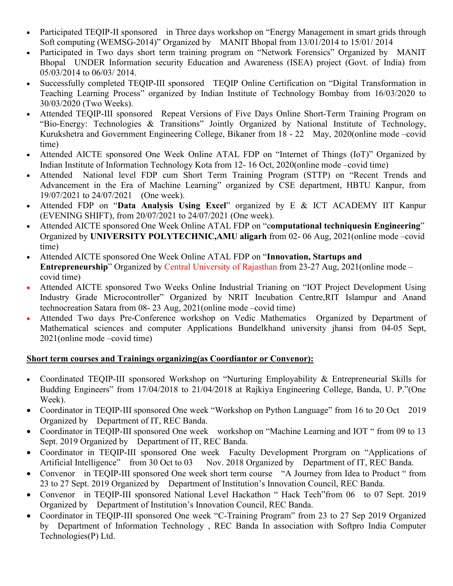- Participated TEQIP-II sponsored in Three days workshop on "Energy Management in smart grids through Soft computing (WEMSG-2014)" Organized by MANIT Bhopal from 13/01/2014 to 15/01/ 2014
- Participated in Two days short term training program on "Network Forensics" Organized by MANIT Bhopal UNDER Information security Education and Awareness (ISEA) project (Govt. of India) from 05/03/2014 to 06/03/ 2014.
- Successfully completed TEQIP-III sponsored TEQIP Online Certification on "Digital Transformation in Teaching Learning Process" organized by Indian Institute of Technology Bombay from 16/03/2020 to 30/03/2020 (Two Weeks).
- Attended TEQIP-III sponsored Repeat Versions of Five Days Online Short-Term Training Program on "Bio-Energy: Technologies & Transitions" Jointly Organized by National Institute of Technology, Kurukshetra and Government Engineering College, Bikaner from 18 - 22 May, 2020(online mode –covid time)
- Attended AICTE sponsored One Week Online ATAL FDP on "Internet of Things (IoT)" Organized by Indian Institute of Information Technology Kota from 12- 16 Oct, 2020(online mode –covid time)
- Attended National level FDP cum Short Term Training Program (STTP) on "Recent Trends and Advancement in the Era of Machine Learning" organized by CSE department, HBTU Kanpur, from 19/07/2021 to 24/07/2021 (One week).
- Attended FDP on "**Data Analysis Using Excel**" organized by E & ICT ACADEMY IIT Kanpur (EVENING SHIFT), from 20/07/2021 to 24/07/2021 (One week).
- Attended AICTE sponsored One Week Online ATAL FDP on "c**omputational techniquesin Engineering**" Organized by **UNIVERSITY POLYTECHNIC,AMU aligarh** from 02- 06 Aug, 2021(online mode –covid time)
- Attended AICTE sponsored One Week Online ATAL FDP on "**Innovation, Startups and Entrepreneurship**" Organized by Central University of Rajasthan from 23-27 Aug, 2021(online mode – covid time)
- Attended AICTE sponsored Two Weeks Online Industrial Trianing on "IOT Project Development Using Industry Grade Microcontroller" Organized by NRIT Incubation Centre,RIT Islampur and Anand technocreation Satara from 08- 23 Aug, 2021(online mode –covid time)
- Attended Two days Pre-Conference workshop on Vedic Mathematics Organized by Department of Mathematical sciences and computer Applications Bundelkhand university jhansi from 04-05 Sept, 2021(online mode –covid time)

## **Short term courses and Trainings organizing(as Coordiantor or Convenor):**

- Coordinated TEQIP-III sponsored Workshop on "Nurturing Employability & Entrepreneurial Skills for Budding Engineers" from 17/04/2018 to 21/04/2018 at Rajkiya Engineering College, Banda, U. P."(One Week).
- Coordinator in TEQIP-III sponsored One week "Workshop on Python Language" from 16 to 20 Oct 2019 Organized by Department of IT, REC Banda.
- Coordinator in TEQIP-III sponsored One week workshop on "Machine Learning and IOT" from 09 to 13 Sept. 2019 Organized by Department of IT, REC Banda.
- Coordinator in TEQIP-III sponsored One week Faculty Development Prorgram on "Applications of Artificial Intelligence" from 30 Oct to 03 Nov. 2018 Organized by Department of IT, REC Banda.
- Convenor in TEQIP-III sponsored One week short term course "A Journey from Idea to Product " from 23 to 27 Sept. 2019 Organized by Department of Institution's Innovation Council, REC Banda.
- Convenor in TEQIP-III sponsored National Level Hackathon " Hack Tech" from 06 to 07 Sept. 2019 Organized by Department of Institution's Innovation Council, REC Banda.
- Coordinator in TEQIP-III sponsored One week "C-Training Program" from 23 to 27 Sep 2019 Organized by Department of Information Technology , REC Banda In association with Softpro India Computer Technologies(P) Ltd.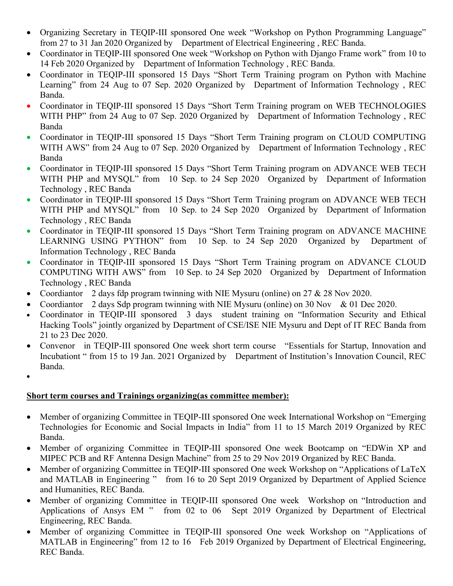- Organizing Secretary in TEQIP-III sponsored One week "Workshop on Python Programming Language" from 27 to 31 Jan 2020 Organized by Department of Electrical Engineering , REC Banda.
- Coordinator in TEQIP-III sponsored One week "Workshop on Python with Django Frame work" from 10 to 14 Feb 2020 Organized by Department of Information Technology , REC Banda.
- Coordinator in TEQIP-III sponsored 15 Days "Short Term Training program on Python with Machine Learning" from 24 Aug to 07 Sep. 2020 Organized by Department of Information Technology , REC Banda.
- Coordinator in TEQIP-III sponsored 15 Days "Short Term Training program on WEB TECHNOLOGIES WITH PHP" from 24 Aug to 07 Sep. 2020 Organized by Department of Information Technology, REC Banda
- Coordinator in TEQIP-III sponsored 15 Days "Short Term Training program on CLOUD COMPUTING WITH AWS" from 24 Aug to 07 Sep. 2020 Organized by Department of Information Technology, REC Banda
- Coordinator in TEQIP-III sponsored 15 Days "Short Term Training program on ADVANCE WEB TECH WITH PHP and MYSQL" from 10 Sep. to 24 Sep 2020 Organized by Department of Information Technology , REC Banda
- Coordinator in TEQIP-III sponsored 15 Days "Short Term Training program on ADVANCE WEB TECH WITH PHP and MYSQL" from 10 Sep. to 24 Sep 2020 Organized by Department of Information Technology , REC Banda
- Coordinator in TEQIP-III sponsored 15 Days "Short Term Training program on ADVANCE MACHINE LEARNING USING PYTHON" from 10 Sep. to 24 Sep 2020 Organized by Department of Information Technology , REC Banda
- Coordinator in TEQIP-III sponsored 15 Days "Short Term Training program on ADVANCE CLOUD COMPUTING WITH AWS" from 10 Sep. to 24 Sep 2020 Organized by Department of Information Technology , REC Banda
- Coordiantor 2 days fdp program twinning with NIE Mysuru (online) on  $27 \& 28$  Nov 2020.
- Coordiantor 2 days Sdp program twinning with NIE Mysuru (online) on 30 Nov & 01 Dec 2020.
- Coordinator in TEQIP-III sponsored 3 days student training on "Information Security and Ethical Hacking Tools" jointly organized by Department of CSE/ISE NIE Mysuru and Dept of IT REC Banda from 21 to 23 Dec 2020.
- Convenor in TEQIP-III sponsored One week short term course "Essentials for Startup, Innovation and Incubationt " from 15 to 19 Jan. 2021 Organized by Department of Institution's Innovation Council, REC Banda.
- •

# **Short term courses and Trainings organizing(as committee member):**

- Member of organizing Committee in TEOIP-III sponsored One week International Workshop on "Emerging" Technologies for Economic and Social Impacts in India" from 11 to 15 March 2019 Organized by REC Banda.
- Member of organizing Committee in TEQIP-III sponsored One week Bootcamp on "EDWin XP and MIPEC PCB and RF Antenna Design Machine" from 25 to 29 Nov 2019 Organized by REC Banda.
- Member of organizing Committee in TEQIP-III sponsored One week Workshop on "Applications of LaTeX" and MATLAB in Engineering " from 16 to 20 Sept 2019 Organized by Department of Applied Science and Humanities, REC Banda.
- Member of organizing Committee in TEQIP-III sponsored One week Workshop on "Introduction and Applications of Ansys EM " from 02 to 06 Sept 2019 Organized by Department of Electrical Engineering, REC Banda.
- Member of organizing Committee in TEQIP-III sponsored One week Workshop on "Applications of MATLAB in Engineering" from 12 to 16 Feb 2019 Organized by Department of Electrical Engineering, REC Banda.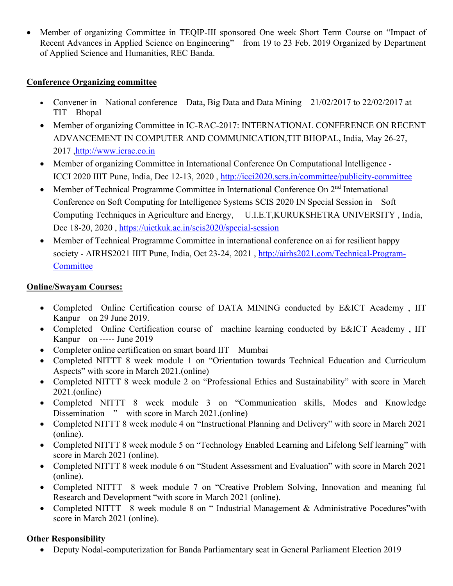• Member of organizing Committee in TEQIP-III sponsored One week Short Term Course on "Impact of Recent Advances in Applied Science on Engineering" from 19 to 23 Feb. 2019 Organized by Department of Applied Science and Humanities, REC Banda.

## **Conference Organizing committee**

- Convener in National conference Data, Big Data and Data Mining 21/02/2017 to 22/02/2017 at TIT Bhopal
- Member of organizing Committee in IC-RAC-2017: INTERNATIONAL CONFERENCE ON RECENT ADVANCEMENT IN COMPUTER AND COMMUNICATION,TIT BHOPAL, India, May 26-27, 2017 [,http://www.icrac.co.in](http://www.icrac.co.in/)
- Member of organizing Committee in International Conference On Computational Intelligence -ICCI 2020 IIIT Pune, India, Dec 12-13, 2020 ,<http://icci2020.scrs.in/committee/publicity-committee>
- Member of Technical Programme Committee in International Conference On 2<sup>nd</sup> International Conference on Soft Computing for Intelligence Systems SCIS 2020 IN Special Session in Soft Computing Techniques in Agriculture and Energy, U.I.E.T,KURUKSHETRA UNIVERSITY , India, Dec 18-20, 2020 ,<https://uietkuk.ac.in/scis2020/special-session>
- Member of Technical Programme Committee in international conference on ai for resilient happy society - AIRHS2021 IIIT Pune, India, Oct 23-24, 2021 , [http://airhs2021.com/Technical-Program-](http://airhs2021.com/Technical-Program-Committee)**[Committee](http://airhs2021.com/Technical-Program-Committee)**

# **Online/Swayam Courses:**

- Completed Online Certification course of DATA MINING conducted by E&ICT Academy, IIT Kanpur on 29 June 2019.
- Completed Online Certification course of machine learning conducted by E&ICT Academy , IIT Kanpur on ----- June 2019
- Completer online certification on smart board IIT Mumbai
- Completed NITTT 8 week module 1 on "Orientation towards Technical Education and Curriculum Aspects" with score in March 2021.(online)
- Completed NITTT 8 week module 2 on "Professional Ethics and Sustainability" with score in March 2021.(online)
- Completed NITTT 8 week module 3 on "Communication skills, Modes and Knowledge Dissemination " with score in March 2021.(online)
- Completed NITTT 8 week module 4 on "Instructional Planning and Delivery" with score in March 2021 (online).
- Completed NITTT 8 week module 5 on "Technology Enabled Learning and Lifelong Self learning" with score in March 2021 (online).
- Completed NITTT 8 week module 6 on "Student Assessment and Evaluation" with score in March 2021 (online).
- Completed NITTT 8 week module 7 on "Creative Problem Solving, Innovation and meaning ful Research and Development "with score in March 2021 (online).
- Completed NITTT 8 week module 8 on " Industrial Management & Administrative Pocedures"with score in March 2021 (online).

# **Other Responsibility**

• Deputy Nodal-computerization for Banda Parliamentary seat in General Parliament Election 2019